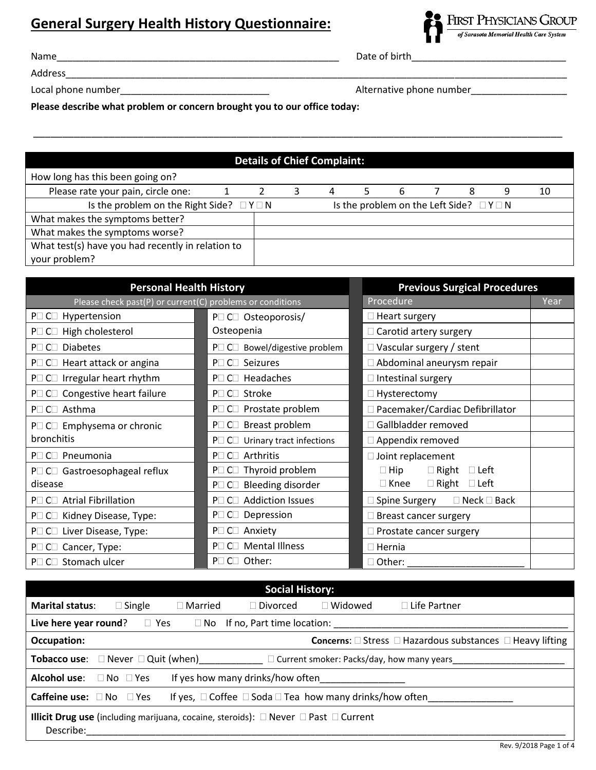## **General Surgery Health History Questionnaire:**



Name\_\_\_\_\_\_\_\_\_\_\_\_\_\_\_\_\_\_\_\_\_\_\_\_\_\_\_\_\_\_\_\_\_\_\_\_\_\_\_\_\_\_\_\_\_\_\_\_\_\_\_\_\_ Date of birth\_\_\_\_\_\_\_\_\_\_\_\_\_\_\_\_\_\_\_\_\_\_\_\_\_\_\_\_\_

Address\_\_\_\_\_\_\_\_\_\_\_\_\_\_\_\_\_\_\_\_\_\_\_\_\_\_\_\_\_\_\_\_\_\_\_\_\_\_\_\_\_\_\_\_\_\_\_\_\_\_\_\_\_\_\_\_\_\_\_\_\_\_\_\_\_\_\_\_\_\_\_\_\_\_\_\_\_\_\_\_\_\_\_\_\_\_\_\_\_\_\_\_\_\_

Local phone number\_\_\_\_\_\_\_\_\_\_\_\_\_\_\_\_\_\_\_\_\_\_\_\_\_\_\_\_ Alternative phone number\_\_\_\_\_\_\_\_\_\_\_\_\_\_\_\_\_\_

**Please describe what problem or concern brought you to our office today:**

## **Details of Chief Complaint:** How long has this been going on? Please rate your pain, circle one:  $\begin{array}{cccccccc} 1 & 2 & 3 & 4 & 5 & 6 & 7 & 8 & 9 & 10 \end{array}$ Is the problem on the Right Side?  $\Box Y \Box N$  Is the problem on the Left Side?  $\Box Y \Box N$ What makes the symptoms better? What makes the symptoms worse? What test(s) have you had recently in relation to your problem?

\_\_\_\_\_\_\_\_\_\_\_\_\_\_\_\_\_\_\_\_\_\_\_\_\_\_\_\_\_\_\_\_\_\_\_\_\_\_\_\_\_\_\_\_\_\_\_\_\_\_\_\_\_\_\_\_\_\_\_\_\_\_\_\_\_\_\_\_\_\_\_\_\_\_\_\_\_\_\_\_\_\_\_\_\_\_\_\_\_\_\_

| <b>Personal Health History</b>                            | <b>Previous Surgical Procedures</b>        |                                            |  |
|-----------------------------------------------------------|--------------------------------------------|--------------------------------------------|--|
| Please check past(P) or current(C) problems or conditions | Procedure                                  | Year                                       |  |
| P□ C□ Hypertension                                        | P□ C□ Osteoporosis/                        | $\Box$ Heart surgery                       |  |
| $P \square$ C $\square$ High cholesterol                  | Osteopenia                                 | $\Box$ Carotid artery surgery              |  |
| P□ C□ Diabetes                                            | P□ C□ Bowel/digestive problem              | $\Box$ Vascular surgery / stent            |  |
| P□ C□ Heart attack or angina                              | P□ C□ Seizures                             | $\Box$ Abdominal aneurysm repair           |  |
| P□ C□ Irregular heart rhythm                              | $P \square$ C $\square$ Headaches          | $\Box$ Intestinal surgery                  |  |
| P <sub>[C]</sub> Congestive heart failure                 | P□ C□ Stroke                               | $\Box$ Hysterectomy                        |  |
| P□ C□ Asthma                                              | P□ C□ Prostate problem                     | □ Pacemaker/Cardiac Defibrillator          |  |
| P□ C□ Emphysema or chronic                                | P□ C□ Breast problem                       | Gallbladder removed                        |  |
| bronchitis                                                | $P \Box$ C $\Box$ Urinary tract infections | $\Box$ Appendix removed                    |  |
| P□ C□ Pneumonia                                           | P□ C□ Arthritis                            | $\Box$ Joint replacement                   |  |
| P□ C□ Gastroesophageal reflux                             | P□ C□ Thyroid problem                      | $\Box$ Right $\Box$ Left<br>$\Box$ Hip     |  |
| disease                                                   | P□ C□ Bleeding disorder                    | $\Box$ Right $\Box$ Left<br>$\Box$ Knee    |  |
| P□ C□ Atrial Fibrillation                                 | P□ C□ Addiction Issues                     | $\Box$ Neck $\Box$ Back<br>∃ Spine Surgery |  |
| P□ C□ Kidney Disease, Type:                               | P□ C□ Depression                           | Breast cancer surgery                      |  |
| P□ C□ Liver Disease, Type:                                | P□ C□ Anxiety                              | $\Box$ Prostate cancer surgery             |  |
| P□ C□ Cancer, Type:                                       | P□ C□ Mental Illness                       | $\Box$ Hernia                              |  |
| P□ C□ Stomach ulcer                                       | P□ C□ Other:                               | □ Other:                                   |  |

| <b>Social History:</b>                                                                                                 |                                                                                   |                |                                                 |                |                                                                                 |  |
|------------------------------------------------------------------------------------------------------------------------|-----------------------------------------------------------------------------------|----------------|-------------------------------------------------|----------------|---------------------------------------------------------------------------------|--|
| <b>Marital status:</b>                                                                                                 | $\Box$ Single                                                                     | $\Box$ Married | $\exists$ Divorced $\exists$                    | $\Box$ Widowed | $\Box$ Life Partner                                                             |  |
| Live here year round?                                                                                                  |                                                                                   |                | $\Box$ Yes $\Box$ No If no, Part time location: |                |                                                                                 |  |
| Occupation:                                                                                                            |                                                                                   |                |                                                 |                | <b>Concerns:</b> $\Box$ Stress $\Box$ Hazardous substances $\Box$ Heavy lifting |  |
|                                                                                                                        | Tobacco use: □ Never □ Quit (when)<br>□ Current smoker: Packs/day, how many years |                |                                                 |                |                                                                                 |  |
| Alcohol use: □ No □ Yes<br>If yes how many drinks/how often                                                            |                                                                                   |                |                                                 |                |                                                                                 |  |
| If yes, $\Box$ Coffee $\Box$ Soda $\Box$ Tea how many drinks/how often<br><b>Caffeine use:</b> $\Box$ No $\Box$ Yes    |                                                                                   |                |                                                 |                |                                                                                 |  |
| <b>Illicit Drug use</b> (including marijuana, cocaine, steroids): $\Box$ Never $\Box$ Past $\Box$ Current<br>Describe: |                                                                                   |                |                                                 |                |                                                                                 |  |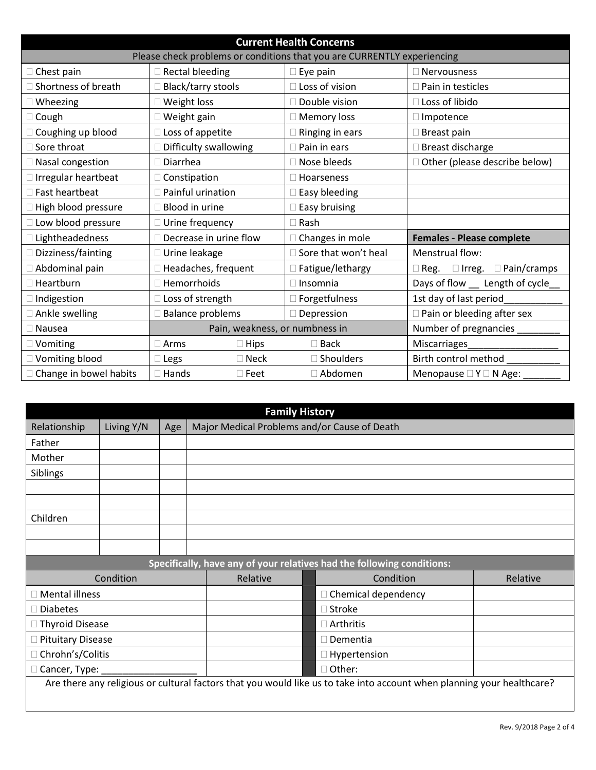| <b>Current Health Concerns</b>                                          |                                |                |                         |                                             |  |  |  |
|-------------------------------------------------------------------------|--------------------------------|----------------|-------------------------|---------------------------------------------|--|--|--|
| Please check problems or conditions that you are CURRENTLY experiencing |                                |                |                         |                                             |  |  |  |
| $\Box$ Chest pain                                                       | <b>Rectal bleeding</b>         |                | Eye pain                | <b>Nervousness</b>                          |  |  |  |
| $\Box$ Shortness of breath                                              | <b>Black/tarry stools</b>      |                | □ Loss of vision        | Pain in testicles                           |  |  |  |
| $\Box$ Wheezing                                                         | Weight loss                    |                | Double vision           | Loss of libido                              |  |  |  |
| $\Box$ Cough                                                            | Weight gain                    |                | <b>Memory loss</b>      | Impotence                                   |  |  |  |
| □ Coughing up blood                                                     | Loss of appetite               |                | Ringing in ears         | Breast pain                                 |  |  |  |
| $\square$ Sore throat                                                   | Difficulty swallowing          |                | $\Box$ Pain in ears     | Breast discharge                            |  |  |  |
| □ Nasal congestion                                                      | Diarrhea                       |                | □ Nose bleeds           | Other (please describe below)               |  |  |  |
| $\Box$ Irregular heartbeat                                              | $\Box$ Constipation            |                | $\Box$ Hoarseness       |                                             |  |  |  |
| □ Fast heartbeat                                                        | Painful urination              |                | Easy bleeding           |                                             |  |  |  |
| □ High blood pressure                                                   | Blood in urine                 |                | $\square$ Easy bruising |                                             |  |  |  |
| □ Low blood pressure                                                    | Urine frequency                |                | $\Box$ Rash             |                                             |  |  |  |
| □ Lightheadedness                                                       | Decrease in urine flow         |                | $\Box$ Changes in mole  | <b>Females - Please complete</b>            |  |  |  |
| □ Dizziness/fainting                                                    | Urine leakage                  |                | Sore that won't heal    | Menstrual flow:                             |  |  |  |
| Abdominal pain                                                          | □ Headaches, frequent          |                | □ Fatigue/lethargy      | $\Box$ Irreg.<br>$\Box$ Pain/cramps<br>Reg. |  |  |  |
| $\Box$ Heartburn                                                        | Hemorrhoids                    |                | $\Box$ Insomnia         | Days of flow<br>Length of cycle_            |  |  |  |
| $\Box$ Indigestion                                                      | Loss of strength               |                | Forgetfulness           | 1st day of last period                      |  |  |  |
| □ Ankle swelling                                                        | <b>Balance problems</b>        |                | Depression              | Pain or bleeding after sex                  |  |  |  |
| $\Box$ Nausea                                                           | Pain, weakness, or numbness in |                |                         | Number of pregnancies                       |  |  |  |
| □ Vomiting                                                              | Arms                           | Hips           | $\square$ Back          | Miscarriages                                |  |  |  |
| □ Vomiting blood                                                        | Legs                           | $\square$ Neck | $\square$ Shoulders     | Birth control method                        |  |  |  |
| □ Change in bowel habits                                                | Hands                          | $\square$ Feet | □ Abdomen               | Menopause $\square$ Y $\square$ N Age:      |  |  |  |

| <b>Family History</b>                                                                                                  |                                                |     |  |                                                                        |  |  |
|------------------------------------------------------------------------------------------------------------------------|------------------------------------------------|-----|--|------------------------------------------------------------------------|--|--|
| Relationship                                                                                                           | Living Y/N                                     | Age |  | Major Medical Problems and/or Cause of Death                           |  |  |
| Father                                                                                                                 |                                                |     |  |                                                                        |  |  |
| Mother                                                                                                                 |                                                |     |  |                                                                        |  |  |
| Siblings                                                                                                               |                                                |     |  |                                                                        |  |  |
|                                                                                                                        |                                                |     |  |                                                                        |  |  |
|                                                                                                                        |                                                |     |  |                                                                        |  |  |
| Children                                                                                                               |                                                |     |  |                                                                        |  |  |
|                                                                                                                        |                                                |     |  |                                                                        |  |  |
|                                                                                                                        |                                                |     |  |                                                                        |  |  |
|                                                                                                                        |                                                |     |  | Specifically, have any of your relatives had the following conditions: |  |  |
|                                                                                                                        | Condition<br>Relative<br>Condition<br>Relative |     |  |                                                                        |  |  |
| $\Box$ Chemical dependency<br><b>Mental illness</b>                                                                    |                                                |     |  |                                                                        |  |  |
| <b>Diabetes</b><br>$\Box$ Stroke                                                                                       |                                                |     |  |                                                                        |  |  |
|                                                                                                                        | Thyroid Disease<br>$\Box$ Arthritis            |     |  |                                                                        |  |  |
| <b>Pituitary Disease</b>                                                                                               |                                                |     |  | Dementia                                                               |  |  |
| Chrohn's/Colitis                                                                                                       |                                                |     |  | Hypertension                                                           |  |  |
| □ Other:<br>Cancer, Type:                                                                                              |                                                |     |  |                                                                        |  |  |
| Are there any religious or cultural factors that you would like us to take into account when planning your healthcare? |                                                |     |  |                                                                        |  |  |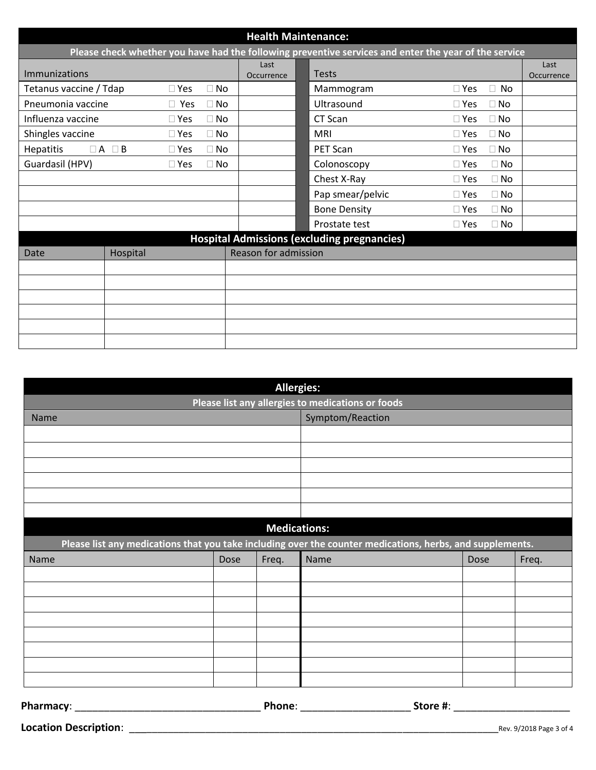|                        | <b>Health Maintenance:</b>                                                                            |            |           |                      |                                                    |                         |                    |
|------------------------|-------------------------------------------------------------------------------------------------------|------------|-----------|----------------------|----------------------------------------------------|-------------------------|--------------------|
|                        | Please check whether you have had the following preventive services and enter the year of the service |            |           |                      |                                                    |                         |                    |
| <b>Immunizations</b>   |                                                                                                       |            |           | Last<br>Occurrence   | <b>Tests</b>                                       |                         | Last<br>Occurrence |
| Tetanus vaccine / Tdap |                                                                                                       | $\Box$ Yes | $\Box$ No |                      | Mammogram                                          | $\Box$ Yes<br>$\Box$ No |                    |
| Pneumonia vaccine      |                                                                                                       | $\Box$ Yes | $\Box$ No |                      | Ultrasound                                         | $\Box$ No<br>$\Box$ Yes |                    |
| Influenza vaccine      |                                                                                                       | $\Box$ Yes | $\Box$ No |                      | CT Scan                                            | $\Box$ Yes<br>$\Box$ No |                    |
| Shingles vaccine       |                                                                                                       | $\Box$ Yes | $\Box$ No |                      | <b>MRI</b>                                         | $\Box$ No<br>$\Box$ Yes |                    |
| <b>Hepatitis</b>       | $\Box A \Box B$                                                                                       | $\Box$ Yes | $\Box$ No |                      | PET Scan                                           | $\Box$ No<br>$\Box$ Yes |                    |
| Guardasil (HPV)        |                                                                                                       | $\Box$ Yes | $\Box$ No |                      | Colonoscopy                                        | $\Box$ Yes<br>$\Box$ No |                    |
|                        |                                                                                                       |            |           |                      | Chest X-Ray                                        | $\Box$ No<br>$\Box$ Yes |                    |
|                        |                                                                                                       |            |           |                      | Pap smear/pelvic                                   | $\Box$ Yes<br>$\Box$ No |                    |
|                        |                                                                                                       |            |           |                      | <b>Bone Density</b>                                | $\Box$ No<br>$\Box$ Yes |                    |
|                        |                                                                                                       |            |           |                      | Prostate test                                      | $\Box$ No<br>$\Box$ Yes |                    |
|                        |                                                                                                       |            |           |                      | <b>Hospital Admissions (excluding pregnancies)</b> |                         |                    |
| Date                   | Hospital                                                                                              |            |           | Reason for admission |                                                    |                         |                    |
|                        |                                                                                                       |            |           |                      |                                                    |                         |                    |
|                        |                                                                                                       |            |           |                      |                                                    |                         |                    |
|                        |                                                                                                       |            |           |                      |                                                    |                         |                    |
|                        |                                                                                                       |            |           |                      |                                                    |                         |                    |
|                        |                                                                                                       |            |           |                      |                                                    |                         |                    |
|                        |                                                                                                       |            |           |                      |                                                    |                         |                    |

| <b>Allergies:</b>                                 |      |                     |                                                                                                           |      |       |  |
|---------------------------------------------------|------|---------------------|-----------------------------------------------------------------------------------------------------------|------|-------|--|
| Please list any allergies to medications or foods |      |                     |                                                                                                           |      |       |  |
| Name                                              |      |                     | Symptom/Reaction                                                                                          |      |       |  |
|                                                   |      |                     |                                                                                                           |      |       |  |
|                                                   |      |                     |                                                                                                           |      |       |  |
|                                                   |      |                     |                                                                                                           |      |       |  |
|                                                   |      |                     |                                                                                                           |      |       |  |
|                                                   |      |                     |                                                                                                           |      |       |  |
|                                                   |      |                     |                                                                                                           |      |       |  |
|                                                   |      | <b>Medications:</b> |                                                                                                           |      |       |  |
|                                                   |      |                     | Please list any medications that you take including over the counter medications, herbs, and supplements. |      |       |  |
| Name                                              | Dose | Freq.               | Name                                                                                                      | Dose | Freq. |  |
|                                                   |      |                     |                                                                                                           |      |       |  |
|                                                   |      |                     |                                                                                                           |      |       |  |
|                                                   |      |                     |                                                                                                           |      |       |  |
|                                                   |      |                     |                                                                                                           |      |       |  |
|                                                   |      |                     |                                                                                                           |      |       |  |
|                                                   |      |                     |                                                                                                           |      |       |  |
|                                                   |      |                     |                                                                                                           |      |       |  |
|                                                   |      |                     |                                                                                                           |      |       |  |

| Pharmacy: |  |
|-----------|--|
|-----------|--|

**Pharmacy**: \_\_\_\_\_\_\_\_\_\_\_\_\_\_\_\_\_\_\_\_\_\_\_\_\_\_\_\_\_\_\_\_ **Phone**: \_\_\_\_\_\_\_\_\_\_\_\_\_\_\_\_\_\_\_ **Store #**: \_\_\_\_\_\_\_\_\_\_\_\_\_\_\_\_\_\_\_\_

**Location Description**: \_\_\_\_\_\_\_\_\_\_\_\_\_\_\_\_\_\_\_\_\_\_\_\_\_\_\_\_\_\_\_\_\_\_\_\_\_\_\_\_\_\_\_\_\_\_\_\_\_\_\_\_\_\_\_\_\_\_\_\_\_\_\_\_\_\_\_\_\_Rev. 9/2018 Page 3 of 4